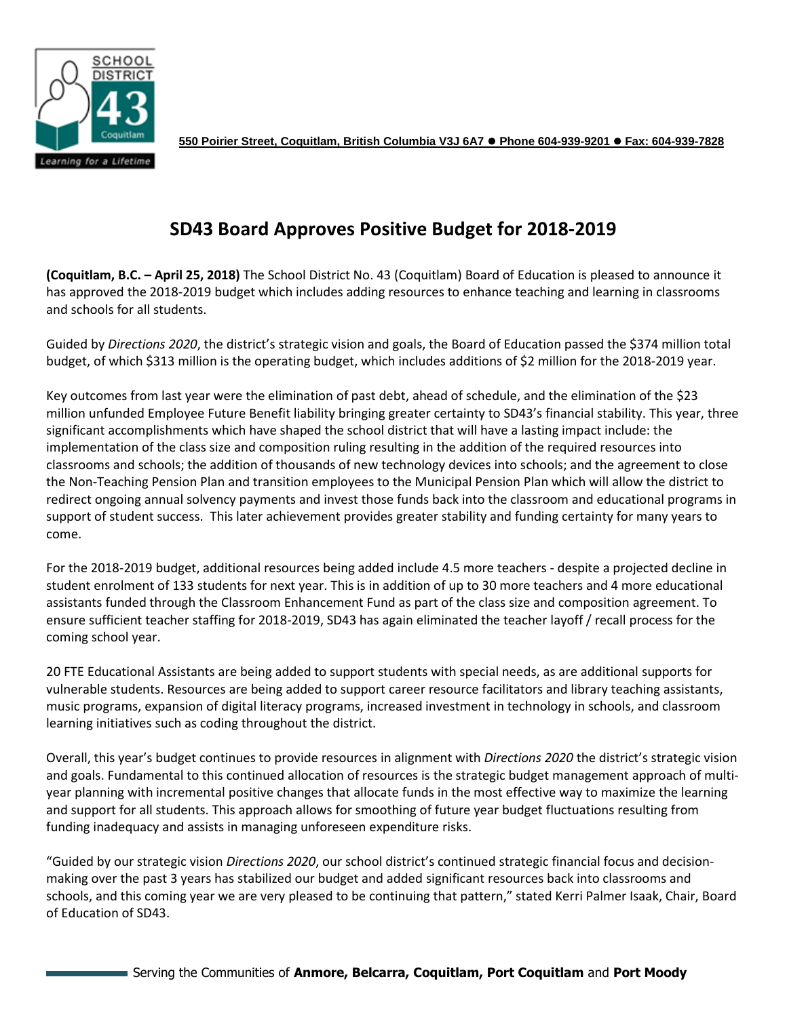

**550 Poirier Street, Coquitlam, British Columbia V3J 6A7 Phone 604-939-9201 Fax: 604-939-7828**

## **SD43 Board Approves Positive Budget for 2018-2019**

**(Coquitlam, B.C. – April 25, 2018)** The School District No. 43 (Coquitlam) Board of Education is pleased to announce it has approved the 2018-2019 budget which includes adding resources to enhance teaching and learning in classrooms and schools for all students.

Guided by *Directions 2020*, the district's strategic vision and goals, the Board of Education passed the \$374 million total budget, of which \$313 million is the operating budget, which includes additions of \$2 million for the 2018-2019 year.

Key outcomes from last year were the elimination of past debt, ahead of schedule, and the elimination of the \$23 million unfunded Employee Future Benefit liability bringing greater certainty to SD43's financial stability. This year, three significant accomplishments which have shaped the school district that will have a lasting impact include: the implementation of the class size and composition ruling resulting in the addition of the required resources into classrooms and schools; the addition of thousands of new technology devices into schools; and the agreement to close the Non-Teaching Pension Plan and transition employees to the Municipal Pension Plan which will allow the district to redirect ongoing annual solvency payments and invest those funds back into the classroom and educational programs in support of student success. This later achievement provides greater stability and funding certainty for many years to come.

For the 2018-2019 budget, additional resources being added include 4.5 more teachers - despite a projected decline in student enrolment of 133 students for next year. This is in addition of up to 30 more teachers and 4 more educational assistants funded through the Classroom Enhancement Fund as part of the class size and composition agreement. To ensure sufficient teacher staffing for 2018-2019, SD43 has again eliminated the teacher layoff / recall process for the coming school year.

20 FTE Educational Assistants are being added to support students with special needs, as are additional supports for vulnerable students. Resources are being added to support career resource facilitators and library teaching assistants, music programs, expansion of digital literacy programs, increased investment in technology in schools, and classroom learning initiatives such as coding throughout the district.

Overall, this year's budget continues to provide resources in alignment with *Directions 2020* the district's strategic vision and goals. Fundamental to this continued allocation of resources is the strategic budget management approach of multiyear planning with incremental positive changes that allocate funds in the most effective way to maximize the learning and support for all students. This approach allows for smoothing of future year budget fluctuations resulting from funding inadequacy and assists in managing unforeseen expenditure risks.

"Guided by our strategic vision *Directions 2020*, our school district's continued strategic financial focus and decisionmaking over the past 3 years has stabilized our budget and added significant resources back into classrooms and schools, and this coming year we are very pleased to be continuing that pattern," stated Kerri Palmer Isaak, Chair, Board of Education of SD43.